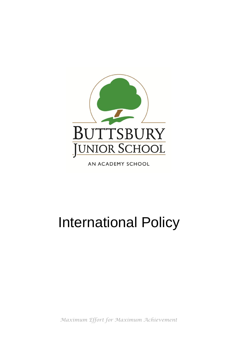

AN ACADEMY SCHOOL

# International Policy

*Maximum Effort for Maximum Achievement*